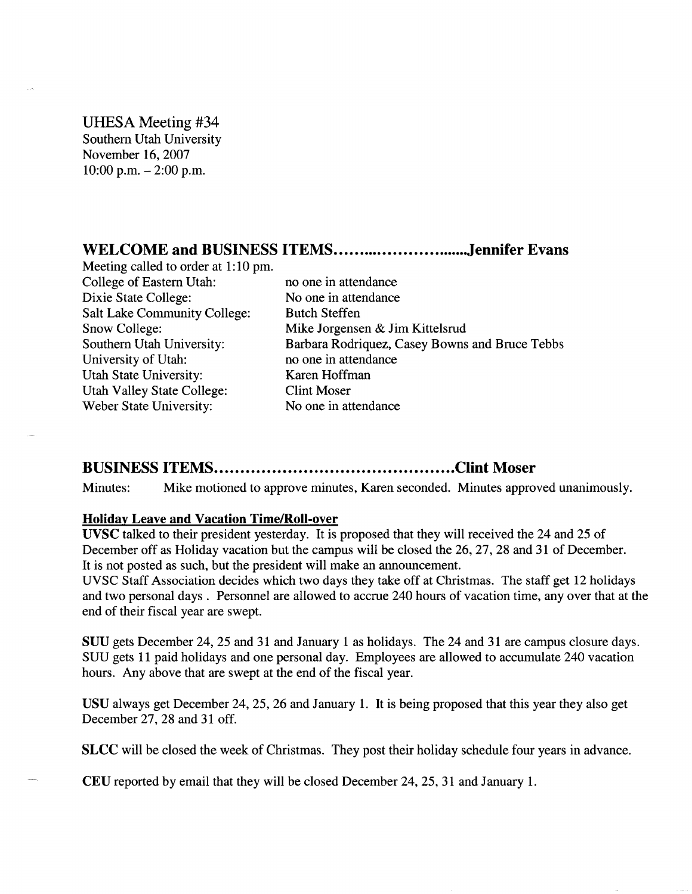UHESA Meeting #34 Southern Utah University November 16, 2007  $10:00$  p.m.  $- 2:00$  p.m.

# **WELCOME and BUSINESS ITEMS Jennifer Evans**

Meeting called to order at 1:10 pm. College of Eastern Utah: no one in attendance Dixie State College: No one in attendance Salt Lake Community College: Butch Steffen Snow College: Mike Jorgensen & Jim Kittelsrud University of Utah: no one in attendance Utah State University: Karen Hoffman Utah Valley State College: Clint Moser Weber State University: No one in attendance

Southern Utah University: Barbara Rodriquez, Casey Bowns and Bruce Tebbs

# **BUSINESS ITEMS Clint Moser**

Minutes: Mike motioned to approve minutes, Karen seconded. Minutes approved unanimously.

#### **Holiday Leave and Vacation Time/Roll-over**

**UVSC** talked to their president yesterday. It is proposed that they will received the 24 and 25 of December off as Holiday vacation but the campus will be closed the 26, 27, 28 and 31 of December. It is not posted as such, but the president will make an announcement.

UVSC Staff Association decides which two days they take off at Christmas. The staff get 12 holidays and two personal days . Personnel are allowed to accrue 240 hours of vacation time, any over that at the end of their fiscal year are swept.

SUU gets December 24, 25 and 31 and January 1 as holidays. The 24 and 31 are campus closure days. SUU gets 11 paid holidays and one personal day. Employees are allowed to accumulate 240 vacation hours. Any above that are swept at the end of the fiscal year.

USU always get December 24, 25, 26 and January 1. It is being proposed that this year they also get December 27, 28 and 31 off.

**SLCC** will be closed the week of Christmas. They post their holiday schedule four years in advance.

CEU reported by email that they will be closed December 24, 25, 31 and January 1.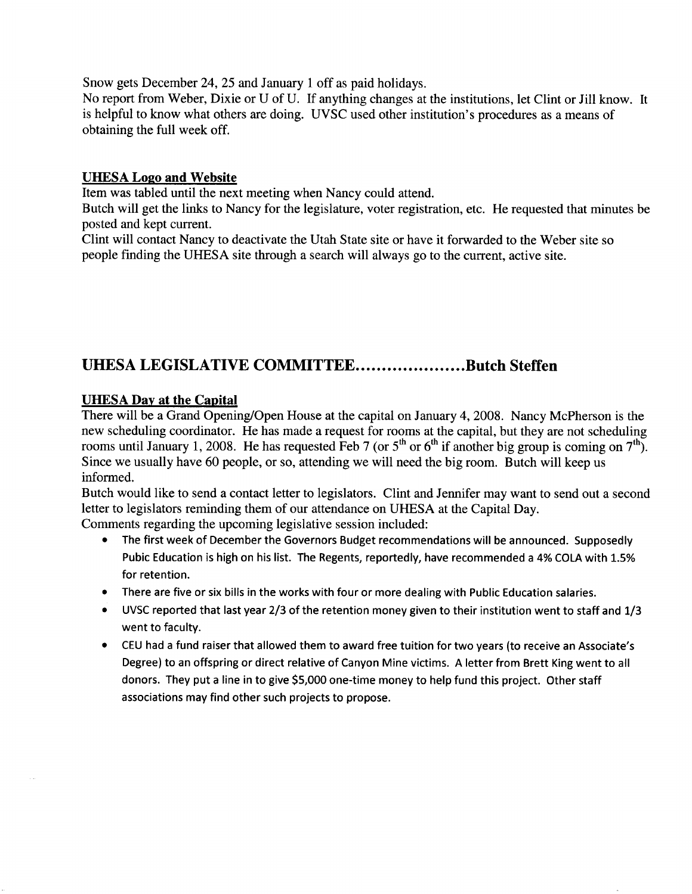Snow gets December 24, 25 and January 1 off as paid holidays.

No report from Weber, Dixie or U of U. If anything changes at the institutions, let Clint or Jill know. It is helpful to know what others are doing. UVSC used other institution's procedures as a means of obtaining the full week off.

#### **UHESA Logo and Website**

Item was tabled until the next meeting when Nancy could attend.

Butch will get the links to Nancy for the legislature, voter registration, etc. He requested that minutes be posted and kept current.

Clint will contact Nancy to deactivate the Utah State site or have it forwarded to the Weber site so people finding the UHESA site through a search will always go to the current, active site.

# **UHESA LEGISLATIVE COMMITTEE....................Butch Steffen**

# **UHESA Day at the Capital**

There will be a Grand Opening/Open House at the capital on January 4, 2008. Nancy McPherson is the new scheduling coordinator. He has made a request for rooms at the capital, but they are not scheduling rooms until January 1, 2008. He has requested Feb 7 (or  $5<sup>th</sup>$  or  $6<sup>th</sup>$  if another big group is coming on  $7<sup>th</sup>$ ). Since we usually have 60 people, or so, attending we will need the big room. Butch will keep us informed.

Butch would like to send a contact letter to legislators. Clint and Jennifer may want to send out a second letter to legislators reminding them of our attendance on UHESA at the Capital Day.

Comments regarding the upcoming legislative session included:

- The first week of December the Governors Budget recommendations will be announced. Supposedly Pubic Education is high on his list. The Regents, reportedly, have recommended a 4% COLA with 1.5% for retention.
- There are five or six bills in the works with four or more dealing with Public Education salaries.
- UVSC reported that last year 2/3 of the retention money given to their institution went to staff and 1/3 went to faculty.
- CEU had a fund raiser that allowed them to award free tuition for two years (to receive an Associate's Degree) to an offspring or direct relative of Canyon Mine victims. A letter from Brett King went to all donors. They put a line in to give \$5,000 one-time money to help fund this project. Other staff associations may find other such projects to propose.